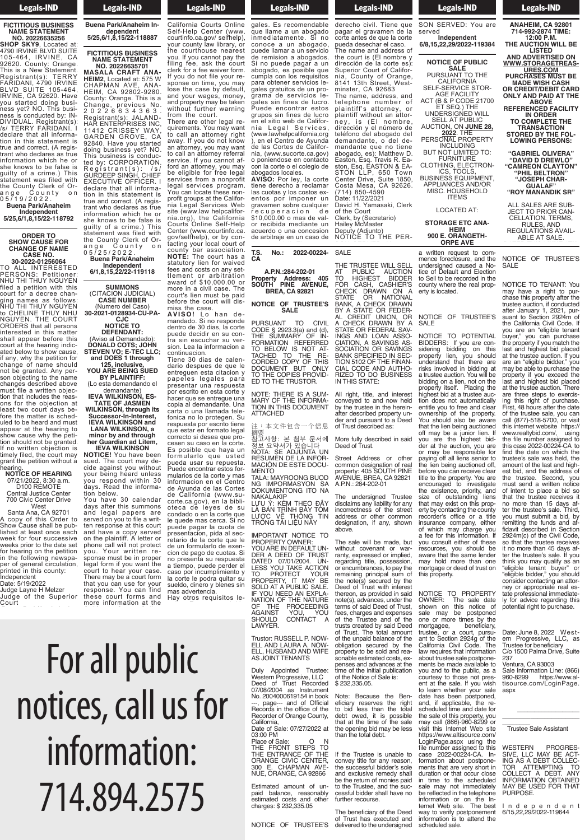## Legals-IND

**FICTITIOUS BUSINESS NAME STATEMENT NO. 20226635256**

**SHOP SKY9**, Located at: 4790 IRVINE BLVD SUITE 105-464, IRVINE, CA 92620. County: Orange. This is a New Statement. Registrant(s): TERRY FARIDANI, 4790 IRVINE BLVD SUITE 105-464, IRVINE, CA 92620. Have you started doing business yet? NO. This business is conducted by: IN-DIVIDUAL. Registrant(s): /s/ TERRY FARIDANI. I declare that all information in this statement is true and correct. (A registrant who declares as true information which he or she knows to be false is guilty of a crime.) statement was filed with the County Clerk of Orange County on

0 5 / 1 9 / 2 0 2 2 . **Buena Park/Anaheim Independent 5/25,6/1,8,15/22-118792**

### **ORDER TO SHOW CAUSE FOR CHANGE OF NAME CASE NO. 30-2022-01256064**

TO ALL INTERESTED PERSONS: Petitioner: NHU THI THUY NGUYEN filed a petition with this court for a decree changing names as follows: NHU THI THUY NGUYEN to CHELINE THUY NHU NGUYEN. THE COURT ORDERS that all persons interested in this matter shall appear before this court at the hearing indicated below to show cause, if any, why the petition for change of name should not be granted. Any person objecting to the name changes described above must file a written objection that includes the reasons for the objection at least two court days before the matter is scheduled to be heard and must appear at the hearing to show cause why the petition should not be granted. If no written objection is timely filed, the court may grant the petition without a

# hearing. **NOTICE OF HEARING**

07/21/2022, 8:30 a.m. D100 REMOTE Central Justice Center 700 Civic Center Drive

West Santa Ana, CA 92701 A copy of this Order to Show Cause shall be published at least once each week for four successive weeks prior to the date set for hearing on the petition in the following newspaper of general circulation, printed in this county:

Independent Date: 5/19/2022 Judge Layne H Melzer Judge of the Superior

Court **Buena Park/Anaheim In-**

### **Legals-IND**  $\overline{\phantom{a}}$   $\overline{\phantom{a}}$   $\overline{\phantom{a}}$   $\overline{\phantom{a}}$   $\overline{\phantom{a}}$   $\overline{\phantom{a}}$   $\overline{\phantom{a}}$   $\overline{\phantom{a}}$   $\overline{\phantom{a}}$   $\overline{\phantom{a}}$   $\overline{\phantom{a}}$   $\overline{\phantom{a}}$   $\overline{\phantom{a}}$   $\overline{\phantom{a}}$   $\overline{\phantom{a}}$   $\overline{\phantom{a}}$   $\overline{\phantom{a}}$   $\overline{\phantom{a}}$   $\overline{\$

Date: 5/19/2022

Buena Park/Anaheim In**dependent 5/25,6/1,8,15/22-118887**

**FICTITIOUS BUSINESS NAME STATEMENT NO. 20226635701 MASALA CRAFT ANA-**

**HEIM2**, Located at: 575 W CHAPMAN AVE, ANA-HEIM, CA 92802-9280. County: Orange. This is a Change, previous No. 2 0 2 2 6 6 3 4 3 6 3 . Registrant(s): JALAND-HAR ENTERPRISES INC, 11412 CRISSEY WAY, GARDEN GROVE, CA 92840. Have you started doing business yet? NO. This business is conducted by: CORPORATION. Registrant(s): /s/ GURDEEP SINGH, CHIEF EXECUTIVE OFFICER. I declare that all information in this statement is true and correct. (A registrant who declares as true information which he or she knows to be false is guilty of a crime.) This statement was filed with the County Clerk of Orange County on 0 5 / 2 5 / 2 0 2 2 . **Buena Park/Anaheim**

**Independent 6/1,8,15,22/22-119118**

**SUMMONS** (CITACION JUDICIAL) **CASE NUMBER** (Numero del Caso) **30-2021-0128934-CU-PA-**

**CJC NOTICE TO DEFENDANT:**

(Aviso al Demandado): **DONALD COTS; JOHN STEVEN VO; E-TEC LLC; and DOES 1 through 125, inclusive,**

**YOU ARE BEING SUED BY PLAINTIFF:** (Lo esta demandando el demandante)<br>**IEVA WILKINSON. ES-IEVA WILKINSON, ES-**

**TATE OF JASMEN WILKINSON, through its Successor-In-Interest, IEVA WILKINSON and LANA WILKINSON, a**

**minor by and through her Guardian ad Litem, IEVA WILKINSON NOTICE!** You have been

sued. The court may decide against you without your being heard unless you respond within 30 Read the informadays. Read<br>tion below. You have 30 calendar

days after this summons and legal papers are served on you to file a written response at this court and have a copy served on the plaintiff. A letter or phone call will not protect you. Your written response must be in proper legal form if you want the court to hear your case. There may be a court form that you can use for your response. You can find these court forms and

more information at the California Courts Online

more information at the California Courts Online Self-Help Center (www. courtinfo.ca.gov/ selfhelp), your county law library, or the courthouse nearest you. If you cannot pay the filing fee, ask the court clerk for a fee waiver form. If you do not file your response on time, you may lose the case by default, and your wages, money, and property may be taken without further warning from the court. There are other legal re-

**Example 18 Legals-IND**  $t_{\text{total}}$ 

quirements. You may want to call an attorney right away. If you do not know an attorney, you may want to call an attorney referral service. If you cannot afford an attorney, you may be eligible for free legal services from a nonprofit legal services program. You can locate these nonprofit groups at the California Legal Services Web site (www.law helpcalifornia.org), the California Courts Online Self-Help Center (www.courtinfo.ca. gov/selfhelp), or by contacting your local court of county bar association. **NOTE:** The court has a statutory lien for waived fees and costs on any settlement or arbitration award of \$10,000.00 or more in a civil case. The court's lien must be paid

before the court will dismiss the case.<br>**AVISO!** Lo han demandado. Si no responde dentro de 30 dias, la corte

puede decidir en su contra sin escuchar su version. Lea la informacion a continuacion. Tiene 30 dias de calendario despues de que le entreguen esta citacion y papeles legales para presentar una respuesta por escrito en esta corte y hacer que se entreque una copia al demandante. Una carta o una llamada telefonica no lo protegen. Su respuesta por escrito tiene que estar en formato legal correcto si desea que procesen su caso en la corte. Es posible que haya un formularlo que usted pueda usar su repuesta. Puede encontrar estos formularios de la corte y mas informacion en el Centro de Ayunda de las Cortes de California (www.sucorte.ca.gov), en la biblioteca de leyes de su condado o en la corte que le quede mas cerca. Si no puede pagar la cuota de presentacion, pida al secretario de la corte que le de un formularlo de exencion de pago de cuotas. Si no presenta su respuesta

caso por incumplimiento y la corte le podra quitar su sueldo, dinero y blenes sin mas advertencia.

a tiempo, puede perder el

Hay otros requisitos legales. Es recomendable

For all public notices, call us for information: 714.894.2575 abogado, es posible que  $\blacksquare$ para obtener servicios le- $\mathbf{u}$ grama de servicios le-Puede encontrar estos grupos sin fines de lucro  $\blacksquare$ en taliformn i a L e g a l Se r v i c e s , ioi cr con la corte o el colegio de abogados locales. **AVISO:** Por ley, la corte tiene derecho a reclamar r e c u p e r a c i o n d e r a c i o n d e r a c i o n d e r a c i o n d e r a c i o n d e r a c i o n d e r  $\blacksquare$ or recibida mediante un acuerdo o una concesion you. If you cannot pay the filing fee, ask the court clerk for a fee waiver form. If you do not file your response on time, you may  $\mathbf{v}$  is possible and your wages, money, and property may be taken without further warning from the court. The start are other legal requirements. You may want zy can to call an attorney referral service. It is not a fairly ford an attorney, you may be eligible for free legal parties. services from a nonprofit  $\rho \wedge \rho$  and  $\rho$ nia Legal Services Web  $\boldsymbol{\times}$ u $\boldsymbol{\cdot}$  $\cdot$  (1)  $7 +$  / Courts Online Self-Help

### **Example 18 Legals-IND** mas adverted to the contract of the contract of the contract of the contract of the contract of the contract of the contract of the contract of the contract of the contract of the contract of the contract of the contract o



abogados locales. **AVISO:** Por ley, la corte tiene derecho a reclamar las cuotas y los costos exentos por imponer un gravamen sobre cualquier recuperacion de \$10,000.00 o mas de valor recibida mediante un acuerdo o una concesion de arbitraje en un caso de derecho civilization derecho civilization derecho civilization derecho civilization derecho civilization derec

#### T.S. No.: 2022-00224-**CA**   $CA$

#### **A.P.N.:284-202-01 Property Address: 405 SOUTH PINE AVENUE, BREA, CA 92821**  $\Delta$  PN  $\cdot$ 284-202-01 Property Address: 405 nopely Address: 400  $S$ UPPERIOR CA 92821 nia, County of Orange,

#### **NOTICE OF TRUSTEE'S SALE** NOTICE OF TRUSTEE'S  $M = 96$ The name, address, and

PURSUANT TO CIVIL CODE § 2923.3(a) and (d), THE SUMMARY OF IN- FORMATION REFERRED TO BELOW IS NOT AT-TACHED TO THE RE- CORDED COPY OF THIS DOCUMENT BUT ONLY TO THE COPIES PROVID- ED TO THE TRUSTOR. PURSUANT TO CIVIL  $P$  places with  $P$  is  $P$  control of  $P$  $\overline{O}$  $\overline{O}$   $\overline{O}$   $\overline{O}$   $\overline{O}$   $\overline{O}$   $\overline{O}$   $\overline{O}$   $\overline{O}$   $\overline{O}$   $\overline{O}$   $\overline{O}$   $\overline{O}$   $\overline{O}$   $\overline{O}$   $\overline{O}$   $\overline{O}$   $\overline{O}$   $\overline{O}$   $\overline{O}$   $\overline{O}$   $\overline{O}$   $\overline{O}$   $\overline{O}$   $\overline{O$ n e communication TO BELOW IS NOT AT te below to not *i*t. demandante, de-control.<br>COBDED COPY OF THIS DOCLIMENT BLIT ONLY **BOOGMENT BOT ONE!** .C THE COMECT HOT B<br>ED TO THE TRUSTOR  $\epsilon$ b to the modion.

NOTE: THERE IS A SUM-MARY OF THE INFORMA- TION IN THIS DOCUMENT ATTACHED  $NOTF: THEBFIS A SUM-$ NARY OF THE INFORMA-TION IN THIS DOCLIMENT  $\sum_{i=1}^{n}$ 

注:本文件包含一个信息 摘要 福要 エベリー ...<br>차구사항· 본 천부 5

참고사항: 본 첨부 문서에 정보 요약서가 있습니다 NOTA: SE ADJUNTA UN RESUMEN DE LA INFOR-MACIÓN DE ESTE DOCU-**MENTO** TALA: MAYROONG BUOD NG IMPORMASYON SA DOKUMENTONG ITO NA NAKALAKIP<br>LITU Ý KÈI 전부 승야서가 힘  $NOTA$   $SE$   $AD$ NOTHER TO THE PERSUMENT ON MACIÓN DE ESTE DOCH-MAYROONG MEN: MINTHOONG BOOB<br>NG IMPORMASYON SA

LƯU Y: KEM THEO ĐẠY<br>LÀ BẢN TRÌNH BÀY TÓM<br>LƯỢC VỀ THỐNG TIN<br>TRONG TÀI LIỆU NÀY

IMPORTANT NOTICE TO PROPERTY OWNER: YOU ARE IN DEFAULT UN-<br>DATED 07/01/2004. UN-<br>LESS YOU TAKE ACTION<br>TO PROTECT YOUR<br>PROPERTY, IT MAY BE<br>SOLD AT A PUBLIC SALE.<br>IF YOU NEED AN EXPLA-<br>NATION OF THE NATURE OF THE PROCEEDING<br>AGAINST YOU, YOU<br>SHOULD CONTACT A AGAINST YOU, YOU<br>SHOULD CONTACT A LAWYER.

Trustor: RUSSELL P. NOW-ELL AND LAURA A. NOW-ELL, HUSBAND AND WIFE AS JOINT TENANTS

Duly Appointed Trustee: Western Progressive, LLC Deed of Trust Recorded 07/08/2004 as Instrument No. 2004000619154 in book ---, page--- and of Official Records in the office of the Recorder of Orange County, California, Date of Sale: 07/27/2022 at

03:00 PM<br>Place of Sale: O N<br>THE FRONT STEPS TO<br>THE FRONT STEPS TO<br>ORANGE CIVIC CENTER,<br>300 E. CHAPMAN AVE-<br>NUE, ORANGE, CA 92866

Estimated amount of un-paid balance, reasonably estimated costs and other charges: \$ 232,335.05

**Example 18 Legals-IND**  $\overline{\phantom{a}}$  acquisitions of  $\overline{\phantom{a}}$ de arbitraje en un caso de arbitraje en un caso de arbitraje en un caso de arbitraje en un caso de arbitraje e<br>En un caso de arbitraje en un caso de arbitraje en un caso de arbitraje en un caso de arbitraje en un caso de

derecho civil. Tiene que pagar el gravamen de la corte antes de que la corte pueda desechar el caso. The name and address of the court is (El nombre y dirección de la corte es): Superior Court of California, County of Orange, 8141 13th Street, Westminster, CA 92683 The name, address, and telephone number of plaintiff's attorney, or plaintiff without an attorney, is (El nombre, dirección y el número de teléfono del abogado del demandante, o del demandante que no tiene abogado, es): Matthew D. Easton, Esq. Travis R. Easton, Esq. EASTON & EA-STON LLP, 650 Town Center Drive, Suite 1850, Costa Mesa, CA 92626. (714) 850-4590 ate: 11/22/2021 David H. Yamasaki, Clerk of the Court

Clerk, by (Secretario) Hailey McMaster Deputy (Adjunto)

NOTICE TO THE PER-SON SERVED: You are

SALE pueda desechar el caso.

THE TRUSTEE WILL SELL **6/8,15,22,29/2022-119384** AT PUBLIC AUCTION<br>TO HIGHEST BIDDER TO HIGHEST BIDDER<br>FOR CASH, CASHIER'S<br>CHECK DRAWN ON A<br>STATE OR NATIONAL<br>BANK, A CHECK DRAWN<br>BY A STATE OR FEDER-<br>AL CREDIT UNION, OR A CHECK DRAWN BY A<br>STATE OR FEDERAL SAV-<br>INGS AND LOAN ASSO-<br>CIATION, A SAVINGS AS-<br>SOCIATION OR SAVINGS<br>BANK SPECIFIED IN SEC-TION 5102 OF THE FINAN-<br>CIAL CODE AND AUTHO-<br>RIZED TO DO BUSINESS<br>IN THIS STATE:

All right, title, and interest conveyed to and now held by the trustee in the herein-<br>after described property unafter described property un-<br>der and pursuant to a Deed<br>of Trust described as:

# More fully described in said Deed of Trust.

Street Address or other common designation of real property: 405 SOUTH PINE AVENUE, BREA, CA 92821 A.P.N.: 284-202-01

The undersigned Trustee disclaims any liability for any incorrectness of the street address or other common designation, if any, shown above.

The sale will be made, but without covenant or warranty, expressed or implied, regarding title, possession, or encumbrances, to pay the remaining principal sum of the note(s) secured by the Deed of Trust with interest thereon, as provided in said note(s), advances, under the terms of said Deed of Trust, fees, charges and expenses of the Trustee and of the trusts created by said Deed of Trust. The total amount of the unpaid balance of the obligation secured by the property to be sold and rea-sonable estimated costs, expenses and advances at the time of the initial publication of the Notice of Sale is: \$ 232,335.05.

Note: Because the Ben-eficiary reserves the right to bid less than the total debt owed, it is possible that at the time of the sale the opening bid may be less than the total debt.

If the Trustee is unable to convey title for any reason, the successful bidder's sole and exclusive remedy shall be the return of monies paid to the Trustee, and the suc- cessful bidder shall have no further recourse.

of Trust has executed and<br>NOTICE OF TRUSTEE'S delivered to the undersigned The beneficiary of the Deed

### **Legals-IND** <u>Deputy</u> (Adjunto)

**ANAHEIM, CA 92801** NOTICE TO THE PER-SON SERVED: You are served **Independent 6/8,15,22,29/2022-119384**

**NOTICE OF PUBLIC SALE**<br>PURSUANT TO THE PURSUANT TO THE CALIFORNIA SELF-SERVICE STOR-AGE FACILITY ACT (B & P CODE 21700 ET SEQ.) THE

UNDERSIGNED WILL SELL AT PUBLIC AUCTION, ON **JUNE 28,**

**2022**. THE PERSONAL PROPERTY INCLUDING

BUT NOT LIMITED TO: **FURNITURE** CLOTHING, ELECTRON-

ICS, TOOLS, BUSINESS EQUIPMENT, APPLIANCES AND/OR

MISC. HOUSEHOLD ITEMS

LOCATED AT: **STORAGE ETC ANA-**

**HEIM 900 E. ORANGETH-ORPE AVE**

a written request to com- mence foreclosure, and the undersigned caused a No-tice of Default and Election to Sell to be recorded in the county where the real prop-erty is located. NOTICE TO TENANT: You a written request to com-**714-992-2874 TIME:** oreciosure,<br>" **THE** BUILDING CONSECT & THE<br>Inc. of Default and Flaction naun an<br>he sees **A** Sell to be recorded in the *C*ourity wriere trie real prop-

**NOTICE OF TRUSTEE'S** SAL<sub>E</sub> **ONLY AND PAID AT THE**

**URGES**.

NOTICE TO POTENTIAL<br>BIDDERS: If you are con-<br>sidering bidding on this<br>property lien, you should<br>understand that there are risks involved in bidding at a trustee auction. You will be bidding on a lien, not on the property itself. Placing the highest bid at a trustee auc-<br>tion does not sutamatiselly **tion does not automatically**<br>
antitle vau to free and clear. entitle you to free and clear ownership of the property. You should also be aware that the lien being auctioned off may be a junior lien. If you are the highest bid-der at the auction, you are or may be responsible for paying off all liens senior to the lien being auctioned off, before you can receive clear title to the property. You are encouraged to investigate the existence, priority, and size of outstanding liens that may exist on this prop-erty by contacting the county recorder's office or a title insurance company, either of which may charge you a fee for this information. If a lee for this information. If<br>you consult either of these resources, you should be aware that the same lender may hold more than one mortgage or deed of trust on this property. **REFERENCED FACILITY IN ORDER TO** COMPUTE **THE**<br>The computer is the computation of the computer of the computer of the computer of the computer  $\sim$ **TRANS**<br>The line you a **STORED BY THE FOL-LOWING PERSONS: EXAMPLE AUCTIONS.** YOU WILL **DODDE DREW DREW DREW**<br>DRAWN itself Disciped to **Example TRUP III**<br>Washeed hid at a trustee and ou to fi<del>ce</del> a<br>in af the whership of the propert<br>arreship of the propert al life liefi bellig auctions<br>Franz house iunior lion I Hay be a junior field.<br>I are the bigbest bi u are the inghest b<br>r of the quotien you o  $\mu$  be reconci  $R$  rings be responsible it ABUTE OF AT THET'S SETTION TO<br>The lien being auctioned off,<br>poforo you can receive clear **2022 AND JUNE 15th,** *LITE TO THE PROPERTY. TOU ARE*<br>2022 *LITE PROPERTY* rcouraged to investiga sience, prior<br>Foutetanding  $2872$  DI Outstanding nems . Thay exist on this pr<br>by contacting the col uauuny<br>Office (323) STRING OF Q surance company, em-<br>which may charge year **CONSULT CITIEL OF LIP**<br>SUISSE LIGHT OPPULS

NOTICE TO PROPERTY OWNER: The sale date shown on this notice of sale may be postponed one or more times by the mortgagee, beneficiary, trustee, or a court, pursu-ant to Section 2924g of the California Civil Code. The law requires that information about trustee sale postponements be made available to you and to the public, as a courtesy to those not pres- ent at the sale. If you wish to learn whether your sale date has been postponed, and, if applicable, the re- scheduled time and date for the sale of this property, you may call (866)-960-8299 or visit this Internet Web site https://www.altisource.com/ LoginPage.aspx using the file number assigned to this case 2022-00224-CA. In- formation about postpone-ments that are very short in duration or that occur close in time to the scheduled sale may not immediately be reflected in the telephone information or on the In-<br>ternet Web site. The best<br>way to verify postponement

information is to attend the scheduled sale.

**Legals-IND B**osalo **Expansion ORPE AVE**

**714-992-2874 TIME: 12:00 P.M.**

**THE AUCTION WILL BE LISTED AND ADVERTISED ON WWW.STORAGETREAS-URES.COM PURCHASES MUST BE MADE WISH CASH OR CREDIT/DEBIT CARD ONLY AND PAID AT THE ABOVE REFERENCED FACILITY IN ORDER TO COMPLETE THE TRANSACTION STORED BY THE FOL-LOWING PERSONS: "GABRIEL OLIVERA"**

**"DAVID D DREWLO" "CAMREON CLAYTON" "PHIL BELTRON" "JOSEPH CHAR-GUALAF"**

**"ROY MANANDIK SR"** ALL SALES ARE SUB-

JECT TO PRIOR CAN-CELLATION. TERMS, RULES, AND REGULATIONS AVAIL-ABLE AT SALE.<br>————————————————————

**NOTICE OF TRUSTEE'S** NOTICE OF HIGGILE

may have a right to pur-chase this property after the trustee auction, if conducted after January 1, 2021, pur-suant to Section 2924m of the California Civil Code. If you are an "eligible tenant buyer," you can purchase the property if you match the last and highest bid placed at the trustee auction. If you are an "eligible bidder," you may be able to purchase the property if you exceed the last and highest bid placed at the trustee auction. There are three steps to exercis-ing this right of purchase. First, 48 hours after the date of the trustee sale, you can call (877)-518-5700, or visit this internet website https:// www.realtybid.com/, using the file number assigned to this case 2022-00224-CA to find the date on which the trustee's sale was held, the amount of the last and highest bid, and the address of the trustee. Second, you must send a written notice of intent to place a bid so that the trustee receives it no more than 15 days af-ter the trustee's sale. Third, you must submit a bid, by remitting the funds and af-fidavit described in Section 2924m(c) of the Civil Code, so that the trustee receives it no more than 45 days after the trustee's sale. If you think you may qualify as an "eligible tenant buyer" or "eligible bidder," you should ney or appropriate real es-<br>tate professional immediate-ت<br>a rigl navo a ngin lo<br>I this nronerty aft asc and property after a<br>Istee auction, if conduction Indary 1, 202<br>No Section 29 **California Civil Code** 

Date: June 8, 2022 West-ern Progressive, LLC, as Trustee for beneficiary C/o 1500 Palma Drive, Suite 237

Ventura, CA 93003 Sale Information Line: (866) 960-8299 https://www.al-tisource.com/LoginPage. aspx

\_\_\_\_\_\_\_\_ Trustee Sale Assistant

WESTERN PROGRES-<br>SIVE, LLC MAY BE ACT-<br>ING AS A DEBT COLLEC-<br>TOR ATTEMPTING TO<br>COLLECT A DEBT. ANY<br>INFORMATION OBTAINED<br>MAY BE USED FOR THAT PURPOSE.

I n d e p e n d e n t 6/15,22,29/2022-119644

Iv for advice regarding this potential right to purchase.

 $\frac{1}{2}$  ,  $\frac{1}{2}$  ,  $\frac{1}{2}$  ,  $\frac{1}{2}$  ,  $\frac{1}{2}$  ,  $\frac{1}{2}$  ,  $\frac{1}{2}$  ,  $\frac{1}{2}$  ,  $\frac{1}{2}$  ,  $\frac{1}{2}$  ,  $\frac{1}{2}$  ,  $\frac{1}{2}$  ,  $\frac{1}{2}$  ,  $\frac{1}{2}$  ,  $\frac{1}{2}$  ,  $\frac{1}{2}$  ,  $\frac{1}{2}$  ,  $\frac{1}{2}$  ,  $\frac{1$  $\_$